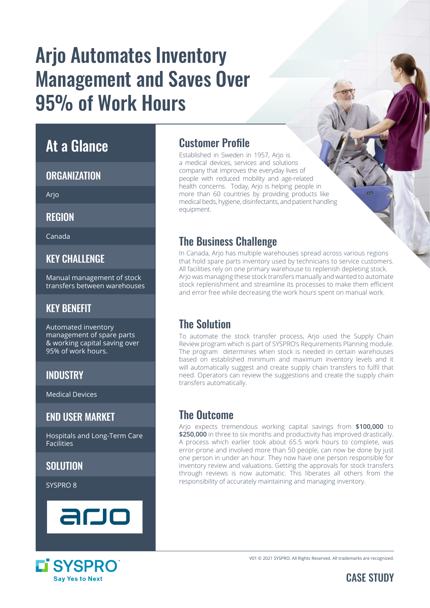# Arjo Automates Inventory Management and Saves Over 95% of Work Hours

### At a Glance

#### **ORGANIZATION**

Arjo

REGION

Canada

#### **KFY CHALLENGE**

Manual management of stock transfers between warehouses

#### KEY BENEFIT

Automated inventory management of spare parts & working capital saving over 95% of work hours.

#### **INDUSTRY**

Medical Devices

#### END USER MARKET

Hospitals and Long-Term Care Facilities

#### SOLUTION

SYSPRO 8





#### Customer Profile

Established in Sweden in 1957, Arjo is a medical devices, services and solutions company that improves the everyday lives of people with reduced mobility and age-related health concerns. Today, Arjo is helping people in more than 60 countries by providing products like medical beds, hygiene, disinfectants, and patient handling equipment.

#### The Business Challenge

In Canada, Arjo has multiple warehouses spread across various regions that hold spare parts inventory used by technicians to service customers. All facilities rely on one primary warehouse to replenish depleting stock. Arjo was managing these stock transfers manually and wanted to automate stock replenishment and streamline its processes to make them efficient and error free while decreasing the work hours spent on manual work.

#### The Solution

To automate the stock transfer process, Arjo used the Supply Chain Review program which is part of SYSPRO's Requirements Planning module. The program determines when stock is needed in certain warehouses based on established minimum and maximum inventory levels and it will automatically suggest and create supply chain transfers to fulfil that need. Operators can review the suggestions and create the supply chain transfers automatically.

#### The Outcome

Arjo expects tremendous working capital savings from **\$100,000** to **\$250,000** in three to six months and productivity has improved drastically. A process which earlier took about 65.5 work hours to complete, was error-prone and involved more than 50 people, can now be done by just one person in under an hour. They now have one person responsible for inventory review and valuations. Getting the approvals for stock transfers through reviews is now automatic. This liberates all others from the responsibility of accurately maintaining and managing inventory.

V01 © 2021 SYSPRO. All Rights Reserved. All trademarks are recognized.

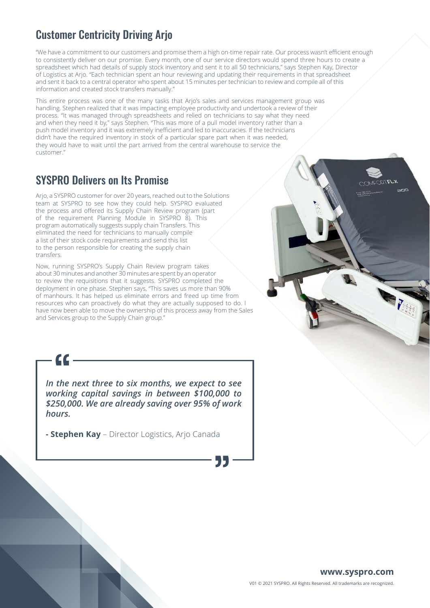#### Customer Centricity Driving Arjo

"We have a commitment to our customers and promise them a high on-time repair rate. Our process wasn't efficient enough to consistently deliver on our promise. Every month, one of our service directors would spend three hours to create a spreadsheet which had details of supply stock inventory and sent it to all 50 technicians," says Stephen Kay, Director of Logistics at Arjo. "Each technician spent an hour reviewing and updating their requirements in that spreadsheet and sent it back to a central operator who spent about 15 minutes per technician to review and compile all of this information and created stock transfers manually."

This entire process was one of the many tasks that Arjo's sales and services management group was handling. Stephen realized that it was impacting employee productivity and undertook a review of their process. "It was managed through spreadsheets and relied on technicians to say what they need and when they need it by," says Stephen. "This was more of a pull model inventory rather than a push model inventory and it was extremely inefficient and led to inaccuracies. If the technicians didn't have the required inventory in stock of a particular spare part when it was needed, they would have to wait until the part arrived from the central warehouse to service the customer."

#### SYSPRO Delivers on Its Promise

 $cc$ 

Arjo, a SYSPRO customer for over 20 years, reached out to the Solutions team at SYSPRO to see how they could help. SYSPRO evaluated the process and offered its Supply Chain Review program (part of the requirement Planning Module in SYSPRO 8). This program automatically suggests supply chain Transfers. This eliminated the need for technicians to manually compile a list of their stock code requirements and send this list to the person responsible for creating the supply chain transfers.

Now, running SYSPRO's Supply Chain Review program takes about 30 minutes and another 30 minutes are spent by an operator to review the requisitions that it suggests. SYSPRO completed the deployment in one phase. Stephen says, "This saves us more than 90% of manhours. It has helped us eliminate errors and freed up time from resources who can proactively do what they are actually supposed to do. I have now been able to move the ownership of this process away from the Sales and Services group to the Supply Chain group."

*In the next three to six months, we expect to see working capital savings in between \$100,000 to \$250,000. We are already saving over 95% of work hours.* 

**- Stephen Kay** – Director Logistics, Arjo Canada

 $XJ377$